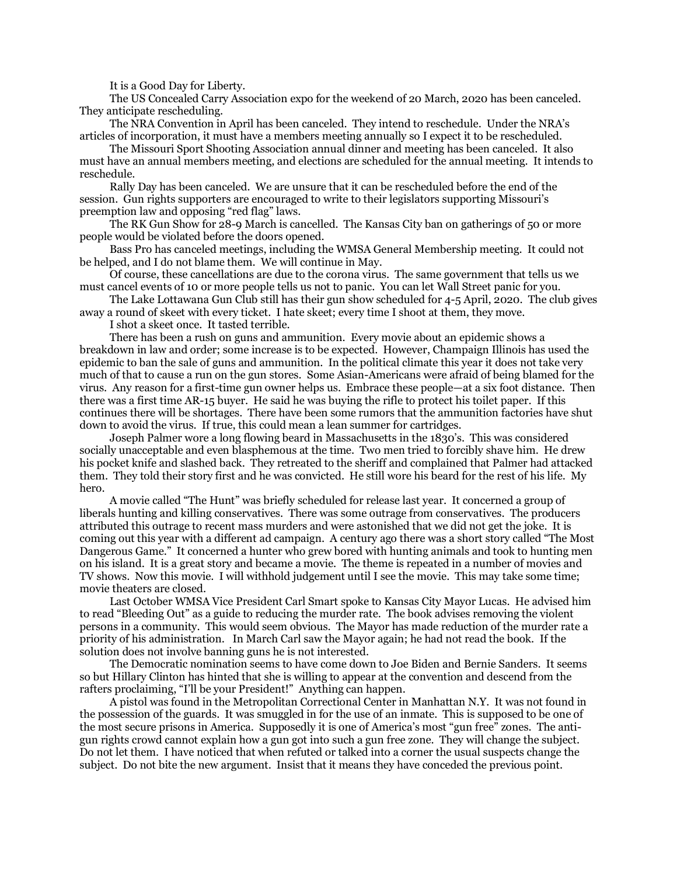It is a Good Day for Liberty.

The US Concealed Carry Association expo for the weekend of 20 March, 2020 has been canceled. They anticipate rescheduling.

The NRA Convention in April has been canceled. They intend to reschedule. Under the NRA's articles of incorporation, it must have a members meeting annually so I expect it to be rescheduled.

The Missouri Sport Shooting Association annual dinner and meeting has been canceled. It also must have an annual members meeting, and elections are scheduled for the annual meeting. It intends to reschedule.

Rally Day has been canceled. We are unsure that it can be rescheduled before the end of the session. Gun rights supporters are encouraged to write to their legislators supporting Missouri's preemption law and opposing "red flag" laws.

The RK Gun Show for 28-9 March is cancelled. The Kansas City ban on gatherings of 50 or more people would be violated before the doors opened.

Bass Pro has canceled meetings, including the WMSA General Membership meeting. It could not be helped, and I do not blame them. We will continue in May.

Of course, these cancellations are due to the corona virus. The same government that tells us we must cancel events of 10 or more people tells us not to panic. You can let Wall Street panic for you.

The Lake Lottawana Gun Club still has their gun show scheduled for 4-5 April, 2020. The club gives away a round of skeet with every ticket. I hate skeet; every time I shoot at them, they move.

I shot a skeet once. It tasted terrible.

There has been a rush on guns and ammunition. Every movie about an epidemic shows a breakdown in law and order; some increase is to be expected. However, Champaign Illinois has used the epidemic to ban the sale of guns and ammunition. In the political climate this year it does not take very much of that to cause a run on the gun stores. Some Asian-Americans were afraid of being blamed for the virus. Any reason for a first-time gun owner helps us. Embrace these people—at a six foot distance. Then there was a first time AR-15 buyer. He said he was buying the rifle to protect his toilet paper. If this continues there will be shortages. There have been some rumors that the ammunition factories have shut down to avoid the virus. If true, this could mean a lean summer for cartridges.

Joseph Palmer wore a long flowing beard in Massachusetts in the 1830's. This was considered socially unacceptable and even blasphemous at the time. Two men tried to forcibly shave him. He drew his pocket knife and slashed back. They retreated to the sheriff and complained that Palmer had attacked them. They told their story first and he was convicted. He still wore his beard for the rest of his life. My hero.

A movie called "The Hunt" was briefly scheduled for release last year. It concerned a group of liberals hunting and killing conservatives. There was some outrage from conservatives. The producers attributed this outrage to recent mass murders and were astonished that we did not get the joke. It is coming out this year with a different ad campaign. A century ago there was a short story called "The Most Dangerous Game." It concerned a hunter who grew bored with hunting animals and took to hunting men on his island. It is a great story and became a movie. The theme is repeated in a number of movies and TV shows. Now this movie. I will withhold judgement until I see the movie. This may take some time; movie theaters are closed.

Last October WMSA Vice President Carl Smart spoke to Kansas City Mayor Lucas. He advised him to read "Bleeding Out" as a guide to reducing the murder rate. The book advises removing the violent persons in a community. This would seem obvious. The Mayor has made reduction of the murder rate a priority of his administration. In March Carl saw the Mayor again; he had not read the book. If the solution does not involve banning guns he is not interested.

The Democratic nomination seems to have come down to Joe Biden and Bernie Sanders. It seems so but Hillary Clinton has hinted that she is willing to appear at the convention and descend from the rafters proclaiming, "I'll be your President!" Anything can happen.

A pistol was found in the Metropolitan Correctional Center in Manhattan N.Y. It was not found in the possession of the guards. It was smuggled in for the use of an inmate. This is supposed to be one of the most secure prisons in America. Supposedly it is one of America's most "gun free" zones. The antigun rights crowd cannot explain how a gun got into such a gun free zone. They will change the subject. Do not let them. I have noticed that when refuted or talked into a corner the usual suspects change the subject. Do not bite the new argument. Insist that it means they have conceded the previous point.